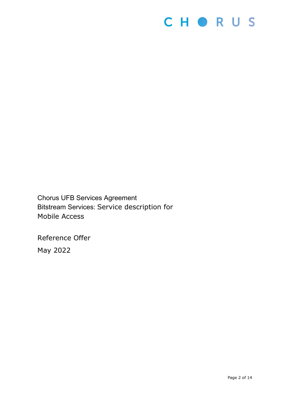

Chorus UFB Services Agreement Bitstream Services: Service description for Mobile Access

Reference Offer May 2022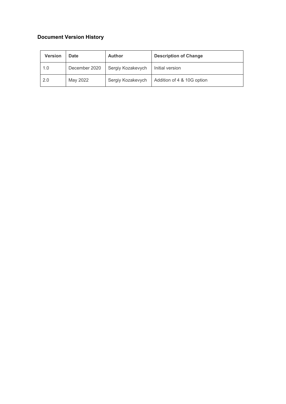# **Document Version History**

| <b>Version</b> | <b>Date</b>   | <b>Author</b>     | <b>Description of Change</b> |
|----------------|---------------|-------------------|------------------------------|
| 1.0            | December 2020 | Sergiy Kozakevych | Initial version              |
| 2.0            | May 2022      | Sergiy Kozakevych | Addition of 4 & 10G option   |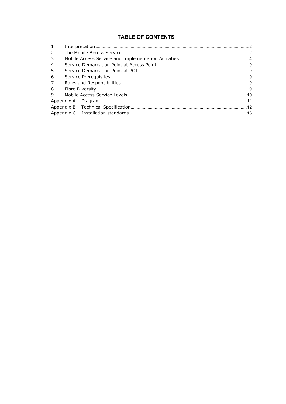## **TABLE OF CONTENTS**

| $\mathbf{1}$   |  |
|----------------|--|
| 2              |  |
| 3              |  |
| $\overline{4}$ |  |
| -5             |  |
| 6              |  |
| 7              |  |
| 8              |  |
| 9              |  |
|                |  |
|                |  |
|                |  |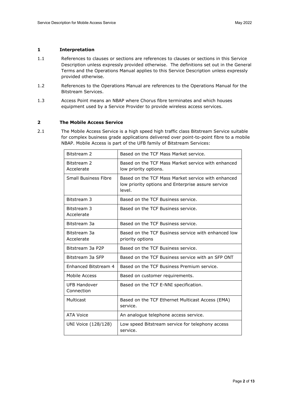#### <span id="page-3-0"></span>**1 Interpretation**

- 1.1 References to clauses or sections are references to clauses or sections in this Service Description unless expressly provided otherwise. The definitions set out in the General Terms and the Operations Manual applies to this Service Description unless expressly provided otherwise.
- 1.2 References to the Operations Manual are references to the Operations Manual for the Bitstream Services.
- 1.3 Access Point means an NBAP where Chorus fibre terminates and which houses equipment used by a Service Provider to provide wireless access services.

#### <span id="page-3-1"></span>**2 The Mobile Access Service**

2.1 The Mobile Access Service is a high speed high traffic class Bitstream Service suitable for complex business grade applications delivered over point-to-point fibre to a mobile NBAP. Mobile Access is part of the UFB family of Bitstream Services:

| Bitstream 2                       | Based on the TCF Mass Market service.                                                                              |  |
|-----------------------------------|--------------------------------------------------------------------------------------------------------------------|--|
| Bitstream 2<br>Accelerate         | Based on the TCF Mass Market service with enhanced<br>low priority options.                                        |  |
| <b>Small Business Fibre</b>       | Based on the TCF Mass Market service with enhanced<br>low priority options and Enterprise assure service<br>level. |  |
| Bitstream 3                       | Based on the TCF Business service.                                                                                 |  |
| Bitstream 3<br>Accelerate         | Based on the TCF Business service.                                                                                 |  |
| Bitstream 3a                      | Based on the TCF Business service.                                                                                 |  |
| Bitstream 3a<br>Accelerate        | Based on the TCF Business service with enhanced low<br>priority options                                            |  |
| Bitstream 3a P2P                  | Based on the TCF Business service.                                                                                 |  |
| Bitstream 3a SFP                  | Based on the TCF Business service with an SFP ONT                                                                  |  |
| Enhanced Bitstream 4              | Based on the TCF Business Premium service.                                                                         |  |
| Mobile Access                     | Based on customer requirements.                                                                                    |  |
| <b>UFB Handover</b><br>Connection | Based on the TCF E-NNI specification.                                                                              |  |
| Multicast                         | Based on the TCF Ethernet Multicast Access (EMA)<br>service.                                                       |  |
| <b>ATA Voice</b>                  | An analogue telephone access service.                                                                              |  |
| UNI Voice (128/128)               | Low speed Bitstream service for telephony access<br>service.                                                       |  |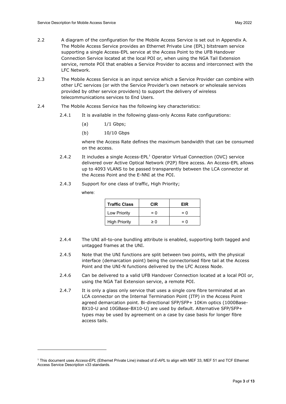- 2.2 A diagram of the configuration for the Mobile Access Service is set out in Appendix A. The Mobile Access Service provides an Ethernet Private Line (EPL) bitstream service supporting a single Access-EPL service at the Access Point to the UFB Handover Connection Service located at the local POI or, when using the NGA Tail Extension service, remote POI that enables a Service Provider to access and interconnect with the LFC Network.
- 2.3 The Mobile Access Service is an input service which a Service Provider can combine with other LFC services (or with the Service Provider's own network or wholesale services provided by other service providers) to support the delivery of wireless telecommunications services to End Users.
- 2.4 The Mobile Access Service has the following key characteristics:
	- 2.4.1 It is available in the following glass-only Access Rate configurations:
		- $(a)$   $1/1$  Gbps;
		- (b) 10/10 Gbps

where the Access Rate defines the maximum bandwidth that can be consumed on the access.

- 2.4.2 It includes a single Access-EPL<sup>[1](#page-4-0)</sup> Operator Virtual Connection (OVC) service delivered over Active Optical Network (P2P) fibre access. An Access-EPL allows up to 4093 VLANS to be passed transparently between the LCA connector at the Access Point and the E-NNI at the POI.
- 2.4.3 Support for one class of traffic, High Priority;

where:

| <b>Traffic Class</b> | CIR      | EIR   |  |
|----------------------|----------|-------|--|
| Low Priority         | $= 0$    | $= 0$ |  |
| <b>High Priority</b> | $\geq 0$ | $= 0$ |  |

- 2.4.4 The UNI all-to-one bundling attribute is enabled, supporting both tagged and untagged frames at the UNI.
- 2.4.5 Note that the UNI functions are split between two points, with the physical interface (demarcation point) being the connectorised fibre tail at the Access Point and the UNI-N functions delivered by the LFC Access Node.
- 2.4.6 Can be delivered to a valid UFB Handover Connection located at a local POI or, using the NGA Tail Extension service, a remote POI.
- 2.4.7 It is only a glass only service that uses a single core fibre terminated at an LCA connector on the Internal Termination Point (ITP) in the Access Point agreed demarcation point. Bi-directional SFP/SFP+ 10Km optics (1000Base-BX10-U and 10GBase-BX10-U) are used by default. Alternative SFP/SFP+ types may be used by agreement on a case by case basis for longer fibre access tails.

<span id="page-4-0"></span><sup>1</sup> This document uses *Access-EPL* (Ethernet Private Line) instead of *E-APL* to align with MEF 33, MEF 51 and TCF Ethernet Access Service Description v33 standards.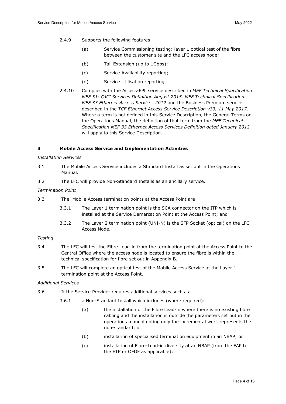- 2.4.9 Supports the following features:
	- (a) Service Commissioning testing: layer 1 optical test of the fibre between the customer site and the LFC access node;
	- (b) Tail Extension (up to 1Gbps);
	- (c) Service Availability reporting;
	- (d) Service Utilisation reporting.
- 2.4.10 Complies with the Access-EPL service described in *MEF Technical Specification MEF 51: OVC Services Definition August 2015, MEF Technical Specification MEF 33 Ethernet Access Services 2012* and the Business Premium service described in the *TCF Ethernet Access Service Description v33, 11 May 2017*. Where a term is not defined in this Service Description, the General Terms or the Operations Manual, the definition of that term from the *MEF Technical Specification MEF 33 Ethernet Access Services Definition dated January 2012* will apply to this Service Description.

#### <span id="page-5-0"></span>**3 Mobile Access Service and Implementation Activities**

#### *Installation Services*

- 3.1 The Mobile Access Service includes a Standard Install as set out in the Operations Manual.
- 3.2 The LFC will provide Non-Standard Installs as an ancillary service.

#### *Termination Point*

- 3.3 The Mobile Access termination points at the Access Point are:
	- 3.3.1 The Layer 1 termination point is the SCA connector on the ITP which is installed at the Service Demarcation Point at the Access Point; and
	- 3.3.2 The Layer 2 termination point (UNI-N) is the SFP Socket (optical) on the LFC Access Node.

#### *Testing*

- 3.4 The LFC will test the Fibre Lead-in from the termination point at the Access Point to the Central Office where the access node is located to ensure the fibre is within the technical specification for fibre set out in Appendix B.
- 3.5 The LFC will complete an optical test of the Mobile Access Service at the Layer 1 termination point at the Access Point.

#### *Additional Services*

- 3.6 If the Service Provider requires additional services such as:
	- 3.6.1 a Non-Standard Install which includes (where required):
		- (a) the installation of the Fibre Lead-in where there is no existing fibre cabling and the installation is outside the parameters set out in the operations manual noting only the incremental work represents the non-standard; or
		- (b) installation of specialised termination equipment in an NBAP; or
		- (c) installation of Fibre-Lead-in diversity at an NBAP (from the FAP to the ETP or OFDF as applicable);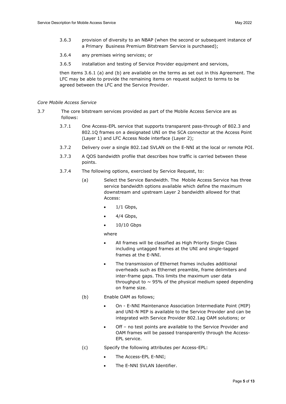- 3.6.3 provision of diversity to an NBAP (when the second or subsequent instance of a Primary Business Premium Bitstream Service is purchased);
- 3.6.4 any premises wiring services; or
- 3.6.5 installation and testing of Service Provider equipment and services,

then items 3.6.1 (a) and (b) are available on the terms as set out in this Agreement. The LFC may be able to provide the remaining items on request subject to terms to be agreed between the LFC and the Service Provider.

#### *Core Mobile Access Service*

- 3.7 The core bitstream services provided as part of the Mobile Access Service are as follows:
	- 3.7.1 One Access-EPL service that supports transparent pass-through of 802.3 and 802.1Q frames on a designated UNI on the SCA connector at the Access Point (Layer 1) and LFC Access Node interface (Layer 2);
	- 3.7.2 Delivery over a single 802.1ad SVLAN on the E-NNI at the local or remote POI.
	- 3.7.3 A QOS bandwidth profile that describes how traffic is carried between these points.
	- 3.7.4 The following options, exercised by Service Request, to:
		- (a) Select the Service Bandwidth. The Mobile Access Service has three service bandwidth options available which define the maximum downstream and upstream Layer 2 bandwidth allowed for that Access:
			- $\bullet$  1/1 Gbps,
			- 4/4 Gbps,
			- $\bullet$  10/10 Gbps

where

- All frames will be classified as High Priority Single Class including untagged frames at the UNI and single-tagged frames at the E-NNI.
- The transmission of Ethernet frames includes additional overheads such as Ethernet preamble, frame delimiters and inter-frame gaps. This limits the maximum user data throughput to  $\sim$  95% of the physical medium speed depending on frame size.
- (b) Enable OAM as follows;
	- On E-NNI Maintenance Association Intermediate Point (MIP) and UNI-N MIP is available to the Service Provider and can be integrated with Service Provider 802.1ag OAM solutions; or
	- Off no test points are available to the Service Provider and OAM frames will be passed transparently through the Access-EPL service.
- (c) Specify the following attributes per Access-EPL:
	- The Access-EPL E-NNI;
	- The E-NNI SVLAN Identifier.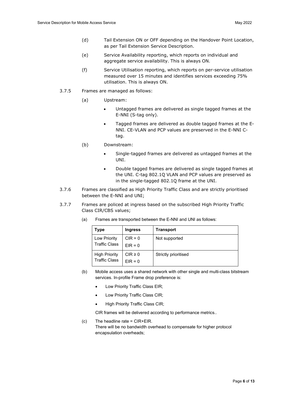- (d) Tail Extension ON or OFF depending on the Handover Point Location, as per Tail Extension Service Description.
- (e) Service Availability reporting, which reports on individual and aggregate service availability. This is always ON.
- (f) Service Utilisation reporting, which reports on per-service utilisation measured over 15 minutes and identifies services exceeding 75% utilisation. This is always ON.
- 3.7.5 Frames are managed as follows:
	- (a) Upstream:
		- Untagged frames are delivered as single tagged frames at the E-NNI (S-tag only).
		- Tagged frames are delivered as double tagged frames at the E-NNI. CE-VLAN and PCP values are preserved in the E-NNI Ctag.
	- (b) Downstream:
		- Single-tagged frames are delivered as untagged frames at the UNI.
		- Double tagged frames are delivered as single tagged frames at the UNI. C-tag 802.1Q VLAN and PCP values are preserved as in the single-tagged 802.1Q frame at the UNI.
- 3.7.6 Frames are classified as High Priority Traffic Class and are strictly prioritised between the E-NNI and UNI;
- 3.7.7 Frames are policed at ingress based on the subscribed High Priority Traffic Class CIR/CBS values;

| Type                                         | <b>Ingress</b>            | Transport            |
|----------------------------------------------|---------------------------|----------------------|
| <b>Low Priority</b><br><b>Traffic Class</b>  | $CIR = 0$<br>$EIR = 0$    | Not supported        |
| <b>High Priority</b><br><b>Traffic Class</b> | $CIR \geq 0$<br>$EIR = 0$ | Strictly prioritised |

(a) Frames are transported between the E-NNI and UNI as follows:

- (b) Mobile access uses a shared network with other single and multi-class bitstream services. In-profile Frame drop preference is:
	- Low Priority Traffic Class EIR;
	- Low Priority Traffic Class CIR;
	- High Priority Traffic Class CIR;

CIR frames will be delivered according to performance metrics..

(c) The headline rate = CIR+EIR. There will be no bandwidth overhead to compensate for higher protocol encapsulation overheads;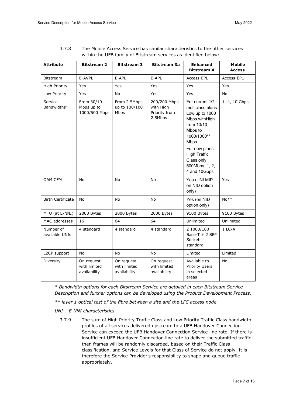| <b>Attribute</b>            | <b>Bitstream 2</b>                         | <b>Bitstream 3</b>                         | <b>Bitstream 3a</b>                                   | <b>Enhanced</b><br>Bitstream 4                                                                                                                                                                                       | <b>Mobile</b><br><b>Access</b> |
|-----------------------------|--------------------------------------------|--------------------------------------------|-------------------------------------------------------|----------------------------------------------------------------------------------------------------------------------------------------------------------------------------------------------------------------------|--------------------------------|
| <b>Bitstream</b>            | E-AVPL                                     | E-APL                                      | E-APL                                                 | Access-EPL                                                                                                                                                                                                           | Access-EPL                     |
| <b>High Priority</b>        | Yes                                        | Yes                                        | Yes                                                   | Yes                                                                                                                                                                                                                  | Yes                            |
| Low Priority                | Yes                                        | No                                         | Yes                                                   | Yes                                                                                                                                                                                                                  | No                             |
| Service<br>Bandwidths*      | From 30/10<br>Mbps up to<br>1000/500 Mbps  | From 2.5Mbps<br>up to 100/100<br>Mbps      | 200/200 Mbps<br>with High<br>Priority from<br>2.5Mbps | For current 1G<br>multiclass plans<br>Low up to 1000<br>Mbps withHigh<br>from 10/10<br>Mbps to<br>1000/1000**<br><b>Mbps</b><br>For new plans<br><b>High Traffic</b><br>Class only<br>500Mbps, 1, 2,<br>4 and 10Gbps | 1, 4, 10 Gbps                  |
| OAM CFM                     | No                                         | No                                         | No                                                    | Yes (UNI MIP<br>on NID option<br>only)                                                                                                                                                                               | Yes                            |
| <b>Birth Certificate</b>    | No                                         | No                                         | No                                                    | Yes (on NID<br>option only)                                                                                                                                                                                          | No**                           |
| MTU (at E-NNI)              | 2000 Bytes                                 | 2000 Bytes                                 | 2000 Bytes                                            | 9100 Bytes                                                                                                                                                                                                           | 9100 Bytes                     |
| MAC addresses               | 16                                         | 64                                         | 64                                                    | Unlimited                                                                                                                                                                                                            | Unlimited                      |
| Number of<br>available UNIs | 4 standard                                 | 4 standard                                 | 4 standard                                            | 2 1000/100<br>Base-T $+ 2$ SFP<br><b>Sockets</b><br>standard                                                                                                                                                         | $1$ LC/A                       |
| L2CP support                | No                                         | No                                         | No                                                    | Limited                                                                                                                                                                                                              | Limited                        |
| Diversity                   | On request<br>with limited<br>availability | On request<br>with limited<br>availability | On request<br>with limited<br>availability            | Available to<br><b>Priority Users</b><br>in selected<br>areas                                                                                                                                                        | No                             |

3.7.8 The Mobile Access Service has similar characteristics to the other services within the UFB family of Bitstream services as identified below:

*\* Bandwidth options for each Bitstream Service are detailed in each Bitstream Service Description and further options can be developed using the Product Development Process.*

*\*\* layer 1 optical test of the fibre between a site and the LFC access node.*

*UNI – E-NNI characteristics*

3.7.9 The sum of High Priority Traffic Class and Low Priority Traffic Class bandwidth profiles of all services delivered upstream to a UFB Handover Connection Service can exceed the UFB Handover Connection Service line rate. If there is insufficient UFB Handover Connection line rate to deliver the submitted traffic then frames will be randomly discarded, based on their Traffic Class classification, and Service Levels for that Class of Service do not apply. It is therefore the Service Provider's responsibility to shape and queue traffic appropriately.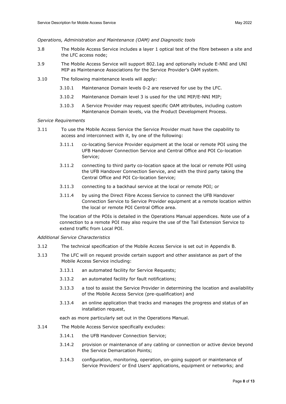*Operations, Administration and Maintenance (OAM) and Diagnostic tools*

- 3.8 The Mobile Access Service includes a layer 1 optical test of the fibre between a site and the LFC access node;
- 3.9 The Mobile Access Service will support 802.1ag and optionally include E-NNI and UNI MIP as Maintenance Associations for the Service Provider's OAM system.
- 3.10 The following maintenance levels will apply:
	- 3.10.1 Maintenance Domain levels 0-2 are reserved for use by the LFC.
	- 3.10.2 Maintenance Domain level 3 is used for the UNI MIP/E-NNI MIP;
	- 3.10.3 A Service Provider may request specific OAM attributes, including custom Maintenance Domain levels, via the Product Development Process.

#### *Service Requirements*

- 3.11 To use the Mobile Access Service the Service Provider must have the capability to access and interconnect with it, by one of the following:
	- 3.11.1 co-locating Service Provider equipment at the local or remote POI using the UFB Handover Connection Service and Central Office and POI Co-location Service;
	- 3.11.2 connecting to third party co-location space at the local or remote POI using the UFB Handover Connection Service, and with the third party taking the Central Office and POI Co-location Service;
	- 3.11.3 connecting to a backhaul service at the local or remote POI; or
	- 3.11.4 by using the Direct Fibre Access Service to connect the UFB Handover Connection Service to Service Provider equipment at a remote location within the local or remote POI Central Office area.

The location of the POIs is detailed in the Operations Manual appendices. Note use of a connection to a remote POI may also require the use of the Tail Extension Service to extend traffic from Local POI.

#### *Additional Service Characteristics*

- 3.12 The technical specification of the Mobile Access Service is set out in Appendix B.
- 3.13 The LFC will on request provide certain support and other assistance as part of the Mobile Access Service including:
	- 3.13.1 an automated facility for Service Requests;
	- 3.13.2 an automated facility for fault notifications;
	- 3.13.3 a tool to assist the Service Provider in determining the location and availability of the Mobile Access Service (pre-qualification) and
	- 3.13.4 an online application that tracks and manages the progress and status of an installation request,

each as more particularly set out in the Operations Manual.

- 3.14 The Mobile Access Service specifically excludes:
	- 3.14.1 the UFB Handover Connection Service;
	- 3.14.2 provision or maintenance of any cabling or connection or active device beyond the Service Demarcation Points;
	- 3.14.3 configuration, monitoring, operation, on-going support or maintenance of Service Providers' or End Users' applications, equipment or networks; and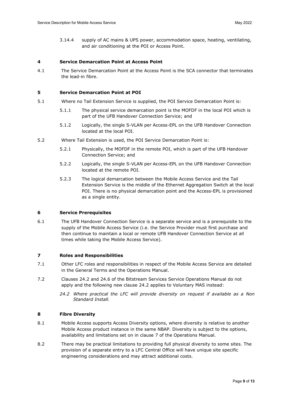3.14.4 supply of AC mains & UPS power, accommodation space, heating, ventilating, and air conditioning at the POI or Access Point.

#### <span id="page-10-0"></span>**4 Service Demarcation Point at Access Point**

4.1 The Service Demarcation Point at the Access Point is the SCA connector that terminates the lead-in fibre.

### <span id="page-10-1"></span>**5 Service Demarcation Point at POI**

- 5.1 Where no Tail Extension Service is supplied, the POI Service Demarcation Point is:
	- 5.1.1 The physical service demarcation point is the MOFDF in the local POI which is part of the UFB Handover Connection Service; and
	- 5.1.2 Logically, the single S-VLAN per Access-EPL on the UFB Handover Connection located at the local POI.
- 5.2 Where Tail Extension is used, the POI Service Demarcation Point is:
	- 5.2.1 Physically, the MOFDF in the remote POI, which is part of the UFB Handover Connection Service; and
	- 5.2.2 Logically, the single S-VLAN per Access-EPL on the UFB Handover Connection located at the remote POI.
	- 5.2.3 The logical demarcation between the Mobile Access Service and the Tail Extension Service is the middle of the Ethernet Aggregation Switch at the local POI. There is no physical demarcation point and the Access-EPL is provisioned as a single entity.

#### <span id="page-10-2"></span>**6 Service Prerequisites**

6.1 The UFB Handover Connection Service is a separate service and is a prerequisite to the supply of the Mobile Access Service (i.e. the Service Provider must first purchase and then continue to maintain a local or remote UFB Handover Connection Service at all times while taking the Mobile Access Service).

### <span id="page-10-3"></span>**7 Roles and Responsibilities**

- 7.1 Other LFC roles and responsibilities in respect of the Mobile Access Service are detailed in the General Terms and the Operations Manual.
- 7.2 Clauses 24.2 and 24.6 of the Bitstream Services Service Operations Manual do not apply and the following new clause 24.2 applies to Voluntary MAS instead:
	- *24.2 Where practical the LFC will provide diversity on request if available as a Non Standard Install.*

## <span id="page-10-4"></span>**8 Fibre Diversity**

- 8.1 Mobile Access supports Access Diversity options, where diversity is relative to another Mobile Access product instance in the same NBAP. Diversity is subject to the options, availability and limitations set on in clause 7 of the Operations Manual.
- 8.2 There may be practical limitations to providing full physical diversity to some sites. The provision of a separate entry to a LFC Central Office will have unique site specific engineering considerations and may attract additional costs.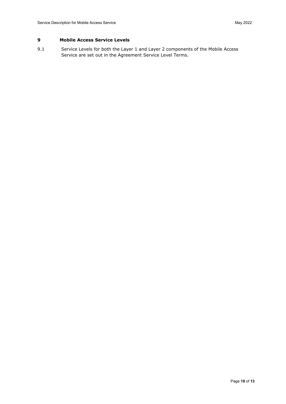## <span id="page-11-0"></span>**9 Mobile Access Service Levels**

9.1 Service Levels for both the Layer 1 and Layer 2 components of the Mobile Access Service are set out in the Agreement Service Level Terms.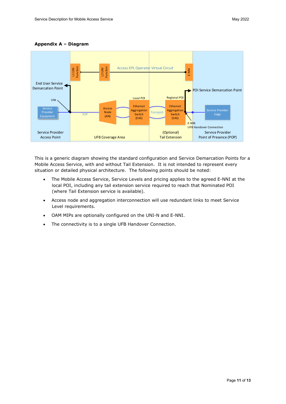

#### <span id="page-12-0"></span>**Appendix A – Diagram**

This is a generic diagram showing the standard configuration and Service Demarcation Points for a Mobile Access Service, with and without Tail Extension. It is not intended to represent every situation or detailed physical architecture. The following points should be noted:

- The Mobile Access Service, Service Levels and pricing applies to the agreed E-NNI at the local POI, including any tail extension service required to reach that Nominated POI (where Tail Extension service is available).
- Access node and aggregation interconnection will use redundant links to meet Service Level requirements.
- OAM MIPs are optionally configured on the UNI-N and E-NNI.
- The connectivity is to a single UFB Handover Connection.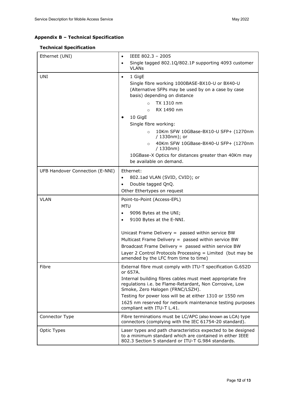# <span id="page-13-0"></span>**Appendix B – Technical Specification**

## **Technical Specification**

| Ethernet (UNI)                  | IEEE 802.3 - 2005<br>$\bullet$                                                                                                                                                                                                                                                                                                                                                             |  |  |
|---------------------------------|--------------------------------------------------------------------------------------------------------------------------------------------------------------------------------------------------------------------------------------------------------------------------------------------------------------------------------------------------------------------------------------------|--|--|
|                                 | Single tagged 802.1Q/802.1P supporting 4093 customer<br>$\bullet$<br><b>VLAN<sub>S</sub></b>                                                                                                                                                                                                                                                                                               |  |  |
| <b>UNI</b>                      | 1 GigE<br>$\bullet$<br>Single fibre working 1000BASE-BX10-U or BX40-U<br>(Alternative SFPs may be used by on a case by case<br>basis) depending on distance<br>TX 1310 nm                                                                                                                                                                                                                  |  |  |
|                                 | $\circ$<br>RX 1490 nm<br>$\Omega$                                                                                                                                                                                                                                                                                                                                                          |  |  |
|                                 | 10 GigE                                                                                                                                                                                                                                                                                                                                                                                    |  |  |
|                                 | Single fibre working:                                                                                                                                                                                                                                                                                                                                                                      |  |  |
|                                 | 10Km SFW 10GBase-BX10-U SFP+ (1270nm<br>$\circ$<br>/ 1330nm); or                                                                                                                                                                                                                                                                                                                           |  |  |
|                                 | 40Km SFW 10GBase-BX40-U SFP+ (1270nm<br>$\circ$<br>/1330nm)                                                                                                                                                                                                                                                                                                                                |  |  |
|                                 | 10GBase-X Optics for distances greater than 40Km may<br>be available on demand.                                                                                                                                                                                                                                                                                                            |  |  |
| UFB Handover Connection (E-NNI) | Ethernet:<br>802.1ad VLAN (SVID, CVID); or<br>$\bullet$<br>Double tagged QnQ.<br>$\bullet$<br>Other Ethertypes on request                                                                                                                                                                                                                                                                  |  |  |
| <b>VLAN</b>                     | Point-to-Point (Access-EPL)<br><b>MTU</b><br>9096 Bytes at the UNI;<br>9100 Bytes at the E-NNI.<br>Unicast Frame Delivery = passed within service BW<br>Multicast Frame Delivery = passed within service BW<br>Broadcast Frame Delivery = passed within service BW<br>Layer 2 Control Protocols Processing = Limited (but may be<br>amended by the LFC from time to time)                  |  |  |
| Fibre                           | External fibre must comply with ITU-T specification G.652D<br>or 657A.<br>Internal building fibres cables must meet appropriate fire<br>regulations i.e. be Flame-Retardant, Non Corrosive, Low<br>Smoke, Zero Halogen (FRNC/LSZH).<br>Testing for power loss will be at either 1310 or 1550 nm<br>1625 nm reserved for network maintenance testing purposes<br>compliant with ITU-T L.41. |  |  |
| Connector Type                  | Fibre terminations must be LC/APC (also known as LCA) type<br>connectors (complying with the IEC 61754-20 standard).                                                                                                                                                                                                                                                                       |  |  |
| Optic Types                     | Laser types and path characteristics expected to be designed<br>to a minimum standard which are contained in either IEEE<br>802.3 Section 5 standard or ITU-T G.984 standards.                                                                                                                                                                                                             |  |  |